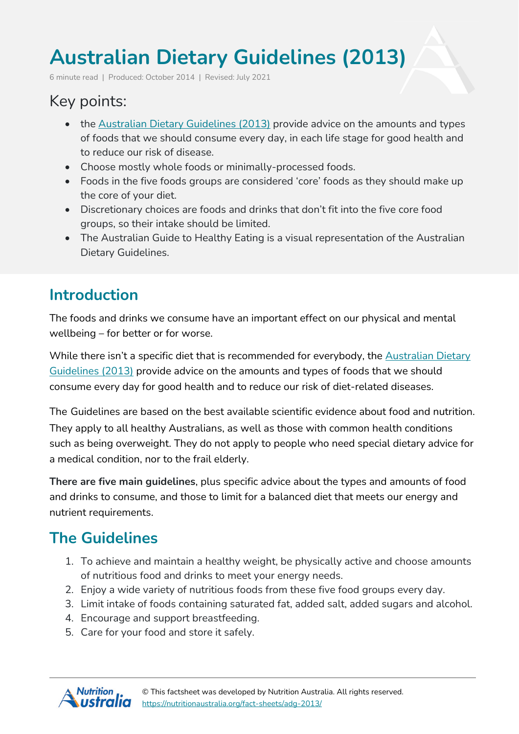# **Australian Dietary Guidelines (2013)**

6 minute read | Produced: October 2014 | Revised: July 2021

# Key points:

- the Australian Dietary [Guidelines](http://www.eatforhealth.gov.au/) (2013) provide advice on the amounts and types of foods that we should consume every day, in each life stage for good health and to reduce our risk of disease.
- Choose mostly whole foods or minimally-processed foods.
- Foods in the five foods groups are considered 'core' foods as they should make up the core of your diet.
- Discretionary choices are foods and drinks that don't fit into the five core food groups, so their intake should be limited.
- The Australian Guide to Healthy Eating is a visual representation of the Australian Dietary Guidelines.

# **Introduction**

The foods and drinks we consume have an important effect on our physical and mental wellbeing – for better or for worse.

While there isn't a specific diet that is recommended for everybody, the [Australian](http://www.eatforhealth.gov.au/) Dietary [Guidelines](http://www.eatforhealth.gov.au/) (2013) provide advice on the amounts and types of foods that we should consume every day for good health and to reduce our risk of diet-related diseases.

The Guidelines are based on the best available scientific evidence about food and nutrition. They apply to all healthy Australians, as well as those with common health conditions such as being overweight. They do not apply to people who need special dietary advice for a medical condition, nor to the frail elderly.

**There are five main guidelines**, plus specific advice about the types and amounts of food and drinks to consume, and those to limit for a balanced diet that meets our energy and nutrient requirements.

# **The Guidelines**

- 1. To achieve and maintain a healthy weight, be physically active and choose amounts of nutritious food and drinks to meet your energy needs.
- 2. Enjoy a wide variety of nutritious foods from these five food groups every day.
- 3. Limit intake of foods containing saturated fat, added salt, added sugars and alcohol.
- 4. Encourage and support breastfeeding.
- 5. Care for your food and store it safely.

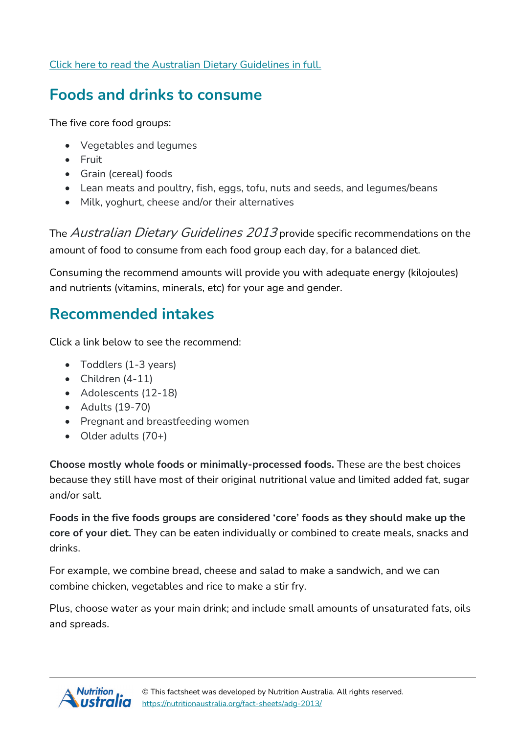Click here to read the Australian Dietary [Guidelines](https://www.eatforhealth.gov.au/guidelines/australian-dietary-guidelines-1-5) in full.

#### **Foods and drinks to consume**

The five core food groups:

- Vegetables and legumes
- Fruit
- Grain (cereal) foods
- Lean meats and poultry, fish, eggs, tofu, nuts and seeds, and legumes/beans
- Milk, yoghurt, cheese and/or their alternatives

The *Australian Dietary Guidelines 2013* provide specific recommendations on the amount of food to consume from each food group each day, for a balanced diet.

Consuming the recommend amounts will provide you with adequate energy (kilojoules) and nutrients (vitamins, minerals, etc) for your age and gender.

#### **Recommended intakes**

Click a link below to see the recommend:

- Toddlers (1-3 years)
- $\bullet$  Children  $(4-11)$
- Adolescents (12-18)
- Adults (19-70)
- Pregnant and breastfeeding women
- Older adults (70+)

**Choose mostly whole foods or minimally-processed foods.** These are the best choices because they still have most of their original nutritional value and limited added fat, sugar and/or salt.

**Foods in the five foods groups are considered 'core' foods as they should make up the core of your diet.** They can be eaten individually or combined to create meals, snacks and drinks.

For example, we combine bread, cheese and salad to make a sandwich, and we can combine chicken, vegetables and rice to make a stir fry.

Plus, choose water as your main drink; and include small amounts of unsaturated fats, oils and spreads.

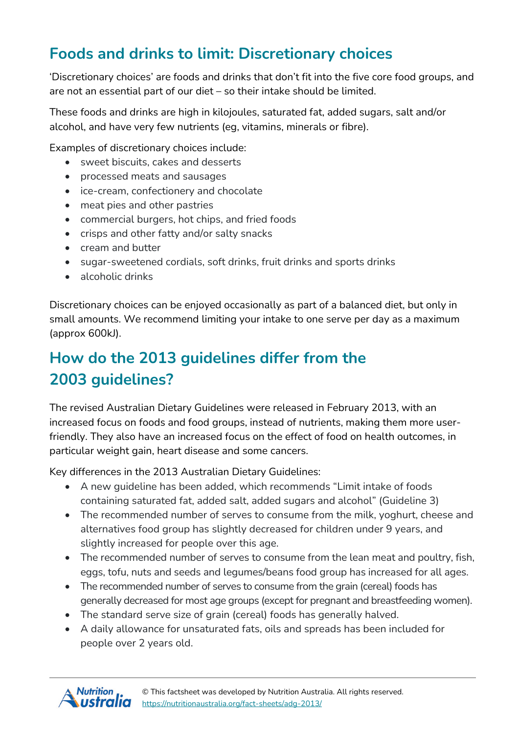# **Foods and drinks to limit: Discretionary choices**

'Discretionary choices' are foods and drinks that don't fit into the five core food groups, and are not an essential part of our diet – so their intake should be limited.

These foods and drinks are high in kilojoules, saturated fat, added sugars, salt and/or alcohol, and have very few nutrients (eg, vitamins, minerals or fibre).

Examples of discretionary choices include:

- sweet biscuits, cakes and desserts
- processed meats and sausages
- ice-cream, confectionery and chocolate
- meat pies and other pastries
- commercial burgers, hot chips, and fried foods
- crisps and other fatty and/or salty snacks
- cream and butter
- sugar-sweetened cordials, soft drinks, fruit drinks and sports drinks
- alcoholic drinks

Discretionary choices can be enjoyed occasionally as part of a balanced diet, but only in small amounts. We recommend limiting your intake to one serve per day as a maximum (approx 600kJ).

# **How do the 2013 guidelines differ from the 2003 guidelines?**

The revised Australian Dietary Guidelines were released in February 2013, with an increased focus on foods and food groups, instead of nutrients, making them more userfriendly. They also have an increased focus on the effect of food on health outcomes, in particular weight gain, heart disease and some cancers.

Key differences in the 2013 Australian Dietary Guidelines:

- A new guideline has been added, which recommends "Limit intake of foods containing saturated fat, added salt, added sugars and alcohol" (Guideline 3)
- The recommended number of serves to consume from the milk, yoghurt, cheese and alternatives food group has slightly decreased for children under 9 years, and slightly increased for people over this age.
- The recommended number of serves to consume from the lean meat and poultry, fish, eggs, tofu, nuts and seeds and legumes/beans food group has increased for all ages.
- The recommended number of serves to consume from the grain (cereal) foods has generally decreased for most age groups (except for pregnant and breastfeeding women).
- The standard serve size of grain (cereal) foods has generally halved.
- A daily allowance for unsaturated fats, oils and spreads has been included for people over 2 years old.